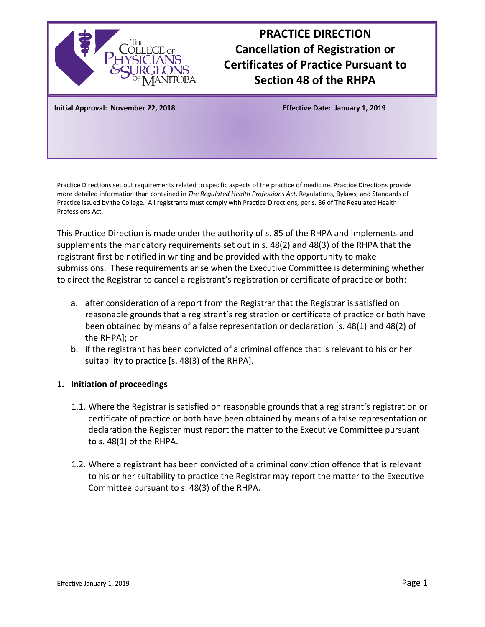

# **PRACTICE DIRECTION Cancellation of Registration or Certificates of Practice Pursuant to Section 48 of the RHPA**

**Initial Approval: November 22, 2018 Effective Date: January 1, 2019**

Practice Directions set out requirements related to specific aspects of the practice of medicine. Practice Directions provide more detailed information than contained in *The Regulated Health Professions Act*, Regulations, Bylaws, and Standards of Practice issued by the College. All registrants must comply with Practice Directions, per s. 86 of The Regulated Health Professions Act.

This Practice Direction is made under the authority of s. 85 of the RHPA and implements and supplements the mandatory requirements set out in s. 48(2) and 48(3) of the RHPA that the registrant first be notified in writing and be provided with the opportunity to make submissions. These requirements arise when the Executive Committee is determining whether to direct the Registrar to cancel a registrant's registration or certificate of practice or both:

- a. after consideration of a report from the Registrar that the Registrar is satisfied on reasonable grounds that a registrant's registration or certificate of practice or both have been obtained by means of a false representation or declaration [s. 48(1) and 48(2) of the RHPA]; or
- b. if the registrant has been convicted of a criminal offence that is relevant to his or her suitability to practice [s. 48(3) of the RHPA].

## **1. Initiation of proceedings**

- 1.1. Where the Registrar is satisfied on reasonable grounds that a registrant's registration or certificate of practice or both have been obtained by means of a false representation or declaration the Register must report the matter to the Executive Committee pursuant to s. 48(1) of the RHPA.
- 1.2. Where a registrant has been convicted of a criminal conviction offence that is relevant to his or her suitability to practice the Registrar may report the matter to the Executive Committee pursuant to s. 48(3) of the RHPA.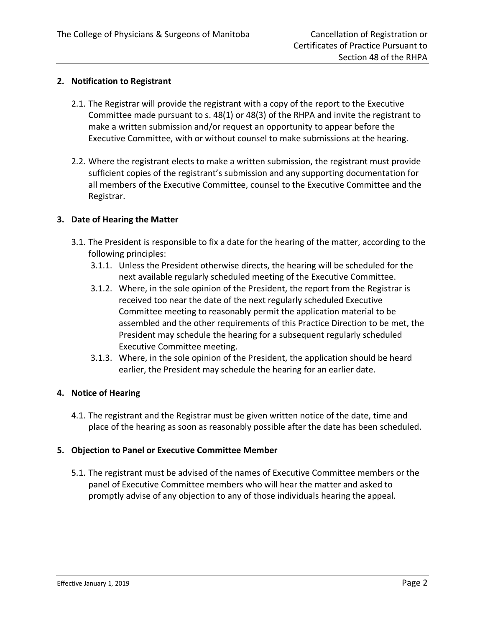## **2. Notification to Registrant**

- 2.1. The Registrar will provide the registrant with a copy of the report to the Executive Committee made pursuant to s. 48(1) or 48(3) of the RHPA and invite the registrant to make a written submission and/or request an opportunity to appear before the Executive Committee, with or without counsel to make submissions at the hearing.
- 2.2. Where the registrant elects to make a written submission, the registrant must provide sufficient copies of the registrant's submission and any supporting documentation for all members of the Executive Committee, counsel to the Executive Committee and the Registrar.

## **3. Date of Hearing the Matter**

- 3.1. The President is responsible to fix a date for the hearing of the matter, according to the following principles:
	- 3.1.1. Unless the President otherwise directs, the hearing will be scheduled for the next available regularly scheduled meeting of the Executive Committee.
	- 3.1.2. Where, in the sole opinion of the President, the report from the Registrar is received too near the date of the next regularly scheduled Executive Committee meeting to reasonably permit the application material to be assembled and the other requirements of this Practice Direction to be met, the President may schedule the hearing for a subsequent regularly scheduled Executive Committee meeting.
	- 3.1.3. Where, in the sole opinion of the President, the application should be heard earlier, the President may schedule the hearing for an earlier date.

#### **4. Notice of Hearing**

4.1. The registrant and the Registrar must be given written notice of the date, time and place of the hearing as soon as reasonably possible after the date has been scheduled.

## **5. Objection to Panel or Executive Committee Member**

5.1. The registrant must be advised of the names of Executive Committee members or the panel of Executive Committee members who will hear the matter and asked to promptly advise of any objection to any of those individuals hearing the appeal.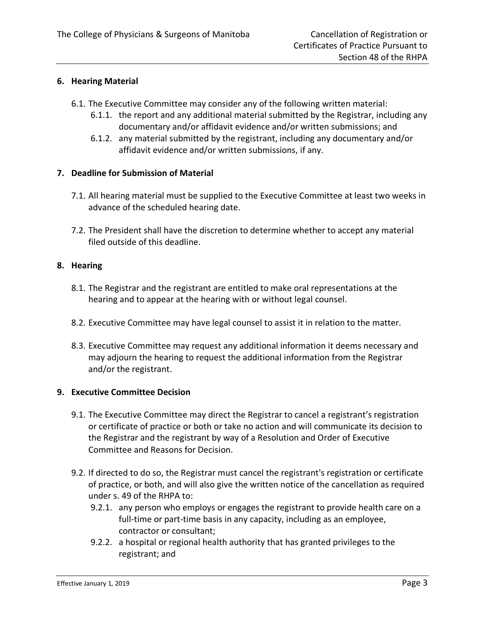## **6. Hearing Material**

- 6.1. The Executive Committee may consider any of the following written material:
	- 6.1.1. the report and any additional material submitted by the Registrar, including any documentary and/or affidavit evidence and/or written submissions; and
	- 6.1.2. any material submitted by the registrant, including any documentary and/or affidavit evidence and/or written submissions, if any.

## **7. Deadline for Submission of Material**

- 7.1. All hearing material must be supplied to the Executive Committee at least two weeks in advance of the scheduled hearing date.
- 7.2. The President shall have the discretion to determine whether to accept any material filed outside of this deadline.

## **8. Hearing**

- 8.1. The Registrar and the registrant are entitled to make oral representations at the hearing and to appear at the hearing with or without legal counsel.
- 8.2. Executive Committee may have legal counsel to assist it in relation to the matter.
- 8.3. Executive Committee may request any additional information it deems necessary and may adjourn the hearing to request the additional information from the Registrar and/or the registrant.

#### **9. Executive Committee Decision**

- 9.1. The Executive Committee may direct the Registrar to cancel a registrant's registration or certificate of practice or both or take no action and will communicate its decision to the Registrar and the registrant by way of a Resolution and Order of Executive Committee and Reasons for Decision.
- 9.2. If directed to do so, the Registrar must cancel the registrant's registration or certificate of practice, or both, and will also give the written notice of the cancellation as required under s. 49 of the RHPA to:
	- 9.2.1. any person who employs or engages the registrant to provide health care on a full-time or part-time basis in any capacity, including as an employee, contractor or consultant;
	- 9.2.2. a hospital or regional health authority that has granted privileges to the registrant; and